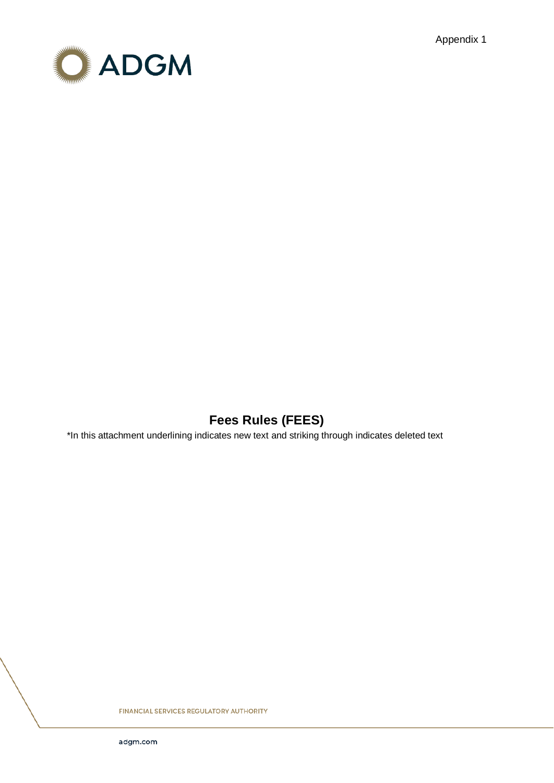Appendix 1



# **Fees Rules (FEES)**

\*In this attachment underlining indicates new text and striking through indicates deleted text

**FINANCIAL SERVICES REGULATORY AUTHORITY**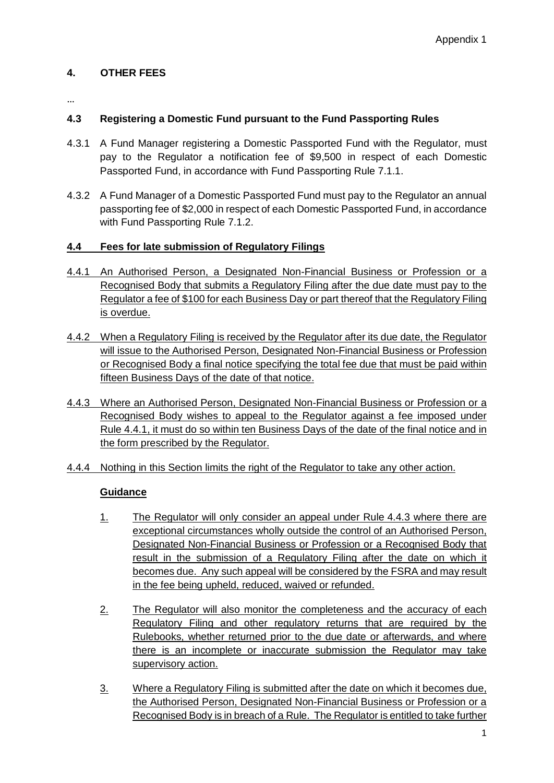### **4. OTHER FEES**

…

## **4.3 Registering a Domestic Fund pursuant to the Fund Passporting Rules**

- 4.3.1 A Fund Manager registering a Domestic Passported Fund with the Regulator, must pay to the Regulator a notification fee of \$9,500 in respect of each Domestic Passported Fund, in accordance with Fund Passporting Rule 7.1.1.
- 4.3.2 A Fund Manager of a Domestic Passported Fund must pay to the Regulator an annual passporting fee of \$2,000 in respect of each Domestic Passported Fund, in accordance with Fund Passporting Rule 7.1.2.

### **4.4 Fees for late submission of Regulatory Filings**

- 4.4.1 An Authorised Person, a Designated Non-Financial Business or Profession or a Recognised Body that submits a Regulatory Filing after the due date must pay to the Regulator a fee of \$100 for each Business Day or part thereof that the Regulatory Filing is overdue.
- 4.4.2 When a Regulatory Filing is received by the Regulator after its due date, the Regulator will issue to the Authorised Person, Designated Non-Financial Business or Profession or Recognised Body a final notice specifying the total fee due that must be paid within fifteen Business Days of the date of that notice.
- 4.4.3 Where an Authorised Person, Designated Non-Financial Business or Profession or a Recognised Body wishes to appeal to the Regulator against a fee imposed under Rule 4.4.1, it must do so within ten Business Days of the date of the final notice and in the form prescribed by the Regulator.
- 4.4.4 Nothing in this Section limits the right of the Regulator to take any other action.

## **Guidance**

- 1. The Regulator will only consider an appeal under Rule 4.4.3 where there are exceptional circumstances wholly outside the control of an Authorised Person, Designated Non-Financial Business or Profession or a Recognised Body that result in the submission of a Regulatory Filing after the date on which it becomes due. Any such appeal will be considered by the FSRA and may result in the fee being upheld, reduced, waived or refunded.
- 2. The Regulator will also monitor the completeness and the accuracy of each Regulatory Filing and other regulatory returns that are required by the Rulebooks, whether returned prior to the due date or afterwards, and where there is an incomplete or inaccurate submission the Regulator may take supervisory action.
- 3. Where a Regulatory Filing is submitted after the date on which it becomes due, the Authorised Person, Designated Non-Financial Business or Profession or a Recognised Body is in breach of a Rule. The Regulator is entitled to take further